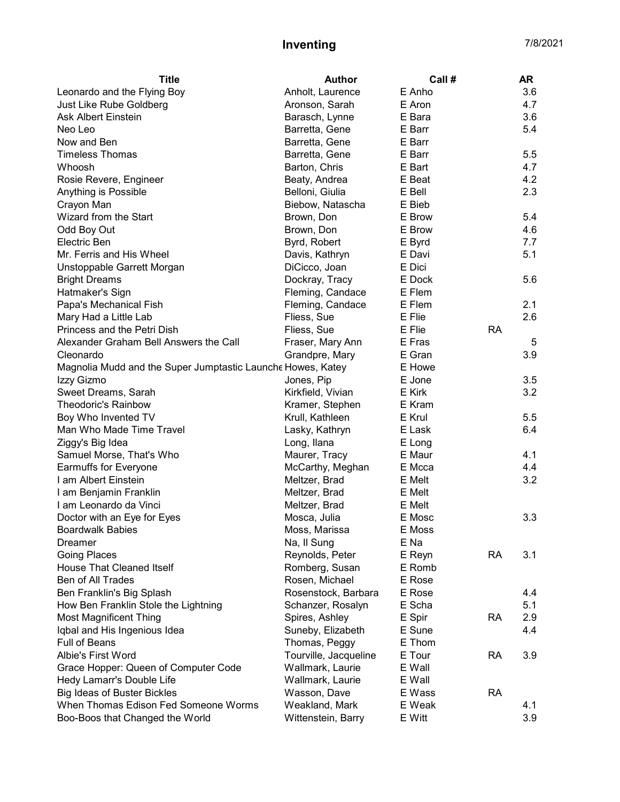## Inventing 7/8/2021

| <b>Title</b>                                                | <b>Author</b>                        | Call # |           | <b>AR</b> |
|-------------------------------------------------------------|--------------------------------------|--------|-----------|-----------|
| Leonardo and the Flying Boy                                 | Anholt, Laurence                     | E Anho |           | 3.6       |
| Just Like Rube Goldberg                                     | Aronson, Sarah                       | E Aron |           | 4.7       |
| Ask Albert Einstein                                         | Barasch, Lynne                       | E Bara |           | 3.6       |
| Neo Leo                                                     | Barretta, Gene                       | E Barr |           | 5.4       |
| Now and Ben                                                 | Barretta, Gene                       | E Barr |           |           |
| <b>Timeless Thomas</b>                                      | Barretta, Gene                       | E Barr |           | 5.5       |
| Whoosh                                                      | Barton, Chris                        | E Bart |           | 4.7       |
| Rosie Revere, Engineer                                      | Beaty, Andrea                        | E Beat |           | 4.2       |
| Anything is Possible                                        | Belloni, Giulia                      | E Bell |           | 2.3       |
| Crayon Man                                                  | Biebow, Natascha                     | E Bieb |           |           |
| Wizard from the Start                                       | Brown, Don                           | E Brow |           | 5.4       |
| Odd Boy Out                                                 | Brown, Don                           | E Brow |           | 4.6       |
| Electric Ben                                                | Byrd, Robert                         | E Byrd |           | 7.7       |
| Mr. Ferris and His Wheel                                    | Davis, Kathryn                       | E Davi |           | 5.1       |
| Unstoppable Garrett Morgan                                  | DiCicco, Joan                        | E Dici |           |           |
| <b>Bright Dreams</b>                                        | Dockray, Tracy                       | E Dock |           | 5.6       |
| Hatmaker's Sign                                             | Fleming, Candace                     | E Flem |           |           |
|                                                             |                                      | E Flem |           | 2.1       |
| Papa's Mechanical Fish                                      | Fleming, Candace                     |        |           |           |
| Mary Had a Little Lab                                       | Fliess, Sue                          | E Flie |           | 2.6       |
| Princess and the Petri Dish                                 | Fliess, Sue                          | E Flie | <b>RA</b> |           |
| Alexander Graham Bell Answers the Call                      | Fraser, Mary Ann                     | E Fras |           | 5         |
| Cleonardo                                                   | Grandpre, Mary                       | E Gran |           | 3.9       |
| Magnolia Mudd and the Super Jumptastic Launche Howes, Katey |                                      | E Howe |           |           |
| Izzy Gizmo                                                  | Jones, Pip                           | E Jone |           | 3.5       |
| Sweet Dreams, Sarah                                         | Kirkfield, Vivian                    | E Kirk |           | 3.2       |
| <b>Theodoric's Rainbow</b>                                  | Kramer, Stephen                      | E Kram |           |           |
| Boy Who Invented TV                                         | Krull, Kathleen                      | E Krul |           | 5.5       |
| Man Who Made Time Travel                                    | Lasky, Kathryn                       | E Lask |           | 6.4       |
| Ziggy's Big Idea                                            | Long, Ilana                          | E Long |           |           |
| Samuel Morse, That's Who                                    | Maurer, Tracy                        | E Maur |           | 4.1       |
| <b>Earmuffs for Everyone</b>                                | McCarthy, Meghan                     | E Mcca |           | 4.4       |
| I am Albert Einstein                                        | Meltzer, Brad                        | E Melt |           | 3.2       |
| I am Benjamin Franklin                                      | Meltzer, Brad                        | E Melt |           |           |
| I am Leonardo da Vinci                                      | Meltzer, Brad                        | E Melt |           |           |
| Doctor with an Eye for Eyes                                 | Mosca, Julia                         | E Mosc |           | 3.3       |
| <b>Boardwalk Babies</b>                                     | Moss, Marissa                        | E Moss |           |           |
| Dreamer                                                     | Na, Il Sung                          | E Na   |           |           |
| Going Places                                                | Reynolds, Peter                      | E Reyn | <b>RA</b> | 3.1       |
| <b>House That Cleaned Itself</b>                            | Romberg, Susan                       | E Romb |           |           |
| Ben of All Trades                                           | Rosen, Michael                       | E Rose |           |           |
| Ben Franklin's Big Splash                                   | Rosenstock, Barbara                  | E Rose |           | 4.4       |
| How Ben Franklin Stole the Lightning                        | Schanzer, Rosalyn                    | E Scha |           | 5.1       |
| <b>Most Magnificent Thing</b>                               | Spires, Ashley                       | E Spir | <b>RA</b> | 2.9       |
| Iqbal and His Ingenious Idea                                | Suneby, Elizabeth                    | E Sune |           | 4.4       |
| Full of Beans                                               | Thomas, Peggy                        | E Thom |           |           |
| Albie's First Word                                          | Tourville, Jacqueline                | E Tour | <b>RA</b> | 3.9       |
|                                                             |                                      | E Wall |           |           |
| Grace Hopper: Queen of Computer Code                        | Wallmark, Laurie<br>Wallmark, Laurie | E Wall |           |           |
| Hedy Lamarr's Double Life                                   |                                      |        | <b>RA</b> |           |
| <b>Big Ideas of Buster Bickles</b>                          | Wasson, Dave                         | E Wass |           |           |
| When Thomas Edison Fed Someone Worms                        | Weakland, Mark                       | E Weak |           | 4.1       |
| Boo-Boos that Changed the World                             | Wittenstein, Barry                   | E Witt |           | 3.9       |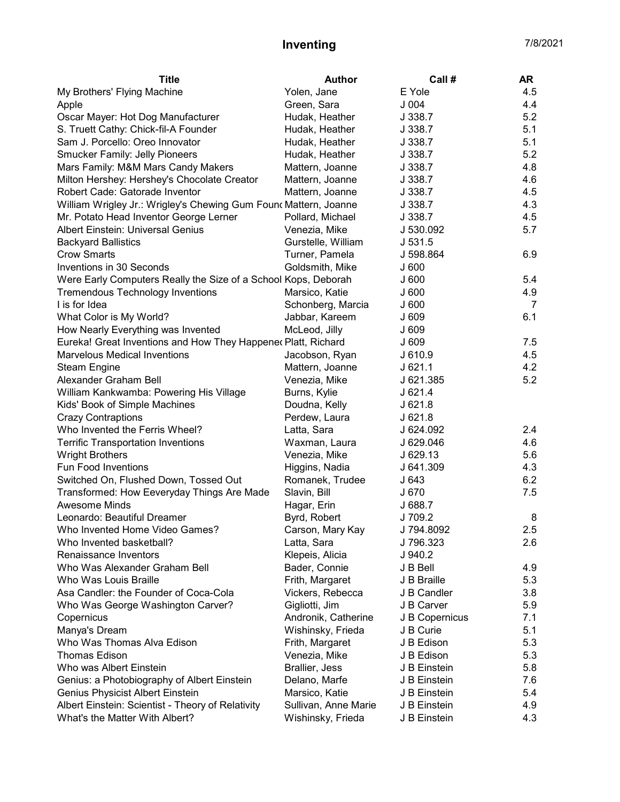## Inventing 7/8/2021

| E Yole<br>My Brothers' Flying Machine<br>Yolen, Jane<br>4.5<br>J004<br>4.4<br>Green, Sara<br>Apple<br>5.2<br>Oscar Mayer: Hot Dog Manufacturer<br>J 338.7<br>Hudak, Heather<br>5.1<br>S. Truett Cathy: Chick-fil-A Founder<br>J 338.7<br>Hudak, Heather<br>5.1<br>Sam J. Porcello: Oreo Innovator<br>Hudak, Heather<br>J 338.7<br>5.2<br><b>Smucker Family: Jelly Pioneers</b><br>Hudak, Heather<br>J 338.7<br>4.8<br>Mars Family: M&M Mars Candy Makers<br>Mattern, Joanne<br>J 338.7<br>Milton Hershey: Hershey's Chocolate Creator<br>Mattern, Joanne<br>4.6<br>J 338.7<br>Robert Cade: Gatorade Inventor<br>Mattern, Joanne<br>4.5<br>J 338.7<br>4.3<br>William Wrigley Jr.: Wrigley's Chewing Gum Founc Mattern, Joanne<br>J 338.7<br>Mr. Potato Head Inventor George Lerner<br>4.5<br>Pollard, Michael<br>J 338.7 |
|-------------------------------------------------------------------------------------------------------------------------------------------------------------------------------------------------------------------------------------------------------------------------------------------------------------------------------------------------------------------------------------------------------------------------------------------------------------------------------------------------------------------------------------------------------------------------------------------------------------------------------------------------------------------------------------------------------------------------------------------------------------------------------------------------------------------------|
|                                                                                                                                                                                                                                                                                                                                                                                                                                                                                                                                                                                                                                                                                                                                                                                                                         |
|                                                                                                                                                                                                                                                                                                                                                                                                                                                                                                                                                                                                                                                                                                                                                                                                                         |
|                                                                                                                                                                                                                                                                                                                                                                                                                                                                                                                                                                                                                                                                                                                                                                                                                         |
|                                                                                                                                                                                                                                                                                                                                                                                                                                                                                                                                                                                                                                                                                                                                                                                                                         |
|                                                                                                                                                                                                                                                                                                                                                                                                                                                                                                                                                                                                                                                                                                                                                                                                                         |
|                                                                                                                                                                                                                                                                                                                                                                                                                                                                                                                                                                                                                                                                                                                                                                                                                         |
|                                                                                                                                                                                                                                                                                                                                                                                                                                                                                                                                                                                                                                                                                                                                                                                                                         |
|                                                                                                                                                                                                                                                                                                                                                                                                                                                                                                                                                                                                                                                                                                                                                                                                                         |
|                                                                                                                                                                                                                                                                                                                                                                                                                                                                                                                                                                                                                                                                                                                                                                                                                         |
|                                                                                                                                                                                                                                                                                                                                                                                                                                                                                                                                                                                                                                                                                                                                                                                                                         |
|                                                                                                                                                                                                                                                                                                                                                                                                                                                                                                                                                                                                                                                                                                                                                                                                                         |
| <b>Albert Einstein: Universal Genius</b><br>J 530.092<br>5.7<br>Venezia, Mike                                                                                                                                                                                                                                                                                                                                                                                                                                                                                                                                                                                                                                                                                                                                           |
| <b>Backyard Ballistics</b><br>J 531.5<br>Gurstelle, William                                                                                                                                                                                                                                                                                                                                                                                                                                                                                                                                                                                                                                                                                                                                                             |
| <b>Crow Smarts</b><br>6.9<br>Turner, Pamela<br>J 598.864                                                                                                                                                                                                                                                                                                                                                                                                                                                                                                                                                                                                                                                                                                                                                                |
| Inventions in 30 Seconds<br>Goldsmith, Mike<br>J600                                                                                                                                                                                                                                                                                                                                                                                                                                                                                                                                                                                                                                                                                                                                                                     |
| Were Early Computers Really the Size of a School Kops, Deborah<br>J600<br>5.4                                                                                                                                                                                                                                                                                                                                                                                                                                                                                                                                                                                                                                                                                                                                           |
| <b>Tremendous Technology Inventions</b><br>J600<br>4.9<br>Marsico, Katie                                                                                                                                                                                                                                                                                                                                                                                                                                                                                                                                                                                                                                                                                                                                                |
| I is for Idea<br>Schonberg, Marcia<br>J600<br>7                                                                                                                                                                                                                                                                                                                                                                                                                                                                                                                                                                                                                                                                                                                                                                         |
| 6.1<br>What Color is My World?<br>Jabbar, Kareem<br>J 609                                                                                                                                                                                                                                                                                                                                                                                                                                                                                                                                                                                                                                                                                                                                                               |
| How Nearly Everything was Invented<br>McLeod, Jilly<br>J 609                                                                                                                                                                                                                                                                                                                                                                                                                                                                                                                                                                                                                                                                                                                                                            |
| Eureka! Great Inventions and How They Happenec Platt, Richard<br>J 609<br>7.5                                                                                                                                                                                                                                                                                                                                                                                                                                                                                                                                                                                                                                                                                                                                           |
| <b>Marvelous Medical Inventions</b><br>J 610.9<br>4.5<br>Jacobson, Ryan                                                                                                                                                                                                                                                                                                                                                                                                                                                                                                                                                                                                                                                                                                                                                 |
| 4.2<br><b>Steam Engine</b><br>Mattern, Joanne<br>$J$ 621.1                                                                                                                                                                                                                                                                                                                                                                                                                                                                                                                                                                                                                                                                                                                                                              |
| 5.2<br>Alexander Graham Bell<br>J 621.385<br>Venezia, Mike                                                                                                                                                                                                                                                                                                                                                                                                                                                                                                                                                                                                                                                                                                                                                              |
| William Kankwamba: Powering His Village<br>J 621.4<br>Burns, Kylie                                                                                                                                                                                                                                                                                                                                                                                                                                                                                                                                                                                                                                                                                                                                                      |
| Kids' Book of Simple Machines<br>Doudna, Kelly<br>J621.8                                                                                                                                                                                                                                                                                                                                                                                                                                                                                                                                                                                                                                                                                                                                                                |
| <b>Crazy Contraptions</b><br>Perdew, Laura<br>J621.8                                                                                                                                                                                                                                                                                                                                                                                                                                                                                                                                                                                                                                                                                                                                                                    |
| Who Invented the Ferris Wheel?<br>J 624.092<br>2.4<br>Latta, Sara                                                                                                                                                                                                                                                                                                                                                                                                                                                                                                                                                                                                                                                                                                                                                       |
| 4.6<br><b>Terrific Transportation Inventions</b><br>Waxman, Laura<br>J 629.046                                                                                                                                                                                                                                                                                                                                                                                                                                                                                                                                                                                                                                                                                                                                          |
| <b>Wright Brothers</b><br>J 629.13<br>5.6<br>Venezia, Mike                                                                                                                                                                                                                                                                                                                                                                                                                                                                                                                                                                                                                                                                                                                                                              |
| Fun Food Inventions<br>J 641.309<br>4.3<br>Higgins, Nadia                                                                                                                                                                                                                                                                                                                                                                                                                                                                                                                                                                                                                                                                                                                                                               |
| 6.2<br>Switched On, Flushed Down, Tossed Out<br>Romanek, Trudee<br>J 643                                                                                                                                                                                                                                                                                                                                                                                                                                                                                                                                                                                                                                                                                                                                                |
| Transformed: How Eeveryday Things Are Made<br>J 670<br>7.5<br>Slavin, Bill                                                                                                                                                                                                                                                                                                                                                                                                                                                                                                                                                                                                                                                                                                                                              |
| <b>Awesome Minds</b><br>J 688.7<br>Hagar, Erin                                                                                                                                                                                                                                                                                                                                                                                                                                                                                                                                                                                                                                                                                                                                                                          |
| J 709.2<br>Leonardo: Beautiful Dreamer<br>Byrd, Robert<br>8                                                                                                                                                                                                                                                                                                                                                                                                                                                                                                                                                                                                                                                                                                                                                             |
| 2.5<br>J 794.8092<br>Who Invented Home Video Games?<br>Carson, Mary Kay                                                                                                                                                                                                                                                                                                                                                                                                                                                                                                                                                                                                                                                                                                                                                 |
| Who Invented basketball?<br>Latta, Sara<br>J 796.323<br>2.6                                                                                                                                                                                                                                                                                                                                                                                                                                                                                                                                                                                                                                                                                                                                                             |
| Renaissance Inventors<br>J 940.2<br>Klepeis, Alicia                                                                                                                                                                                                                                                                                                                                                                                                                                                                                                                                                                                                                                                                                                                                                                     |
| Who Was Alexander Graham Bell<br>Bader, Connie<br>J B Bell<br>4.9                                                                                                                                                                                                                                                                                                                                                                                                                                                                                                                                                                                                                                                                                                                                                       |
| Who Was Louis Braille<br>Frith, Margaret<br>J B Braille<br>5.3                                                                                                                                                                                                                                                                                                                                                                                                                                                                                                                                                                                                                                                                                                                                                          |
| Asa Candler: the Founder of Coca-Cola<br>J B Candler<br>3.8<br>Vickers, Rebecca                                                                                                                                                                                                                                                                                                                                                                                                                                                                                                                                                                                                                                                                                                                                         |
| Who Was George Washington Carver?<br>Gigliotti, Jim<br>J B Carver<br>5.9                                                                                                                                                                                                                                                                                                                                                                                                                                                                                                                                                                                                                                                                                                                                                |
| Copernicus<br>Andronik, Catherine<br>J B Copernicus<br>7.1                                                                                                                                                                                                                                                                                                                                                                                                                                                                                                                                                                                                                                                                                                                                                              |
| 5.1<br>Manya's Dream<br>Wishinsky, Frieda<br>J B Curie                                                                                                                                                                                                                                                                                                                                                                                                                                                                                                                                                                                                                                                                                                                                                                  |
| Who Was Thomas Alva Edison<br>5.3<br>Frith, Margaret<br>J B Edison                                                                                                                                                                                                                                                                                                                                                                                                                                                                                                                                                                                                                                                                                                                                                      |
| <b>Thomas Edison</b><br>5.3<br>Venezia, Mike<br>J B Edison                                                                                                                                                                                                                                                                                                                                                                                                                                                                                                                                                                                                                                                                                                                                                              |
| Brallier, Jess<br>Who was Albert Einstein<br>J B Einstein<br>5.8                                                                                                                                                                                                                                                                                                                                                                                                                                                                                                                                                                                                                                                                                                                                                        |
| Genius: a Photobiography of Albert Einstein<br>Delano, Marfe<br>J B Einstein<br>7.6                                                                                                                                                                                                                                                                                                                                                                                                                                                                                                                                                                                                                                                                                                                                     |
| Genius Physicist Albert Einstein<br>Marsico, Katie<br>5.4<br>J B Einstein                                                                                                                                                                                                                                                                                                                                                                                                                                                                                                                                                                                                                                                                                                                                               |
| Albert Einstein: Scientist - Theory of Relativity<br>Sullivan, Anne Marie<br>J B Einstein<br>4.9                                                                                                                                                                                                                                                                                                                                                                                                                                                                                                                                                                                                                                                                                                                        |
| What's the Matter With Albert?<br>Wishinsky, Frieda<br>J B Einstein<br>4.3                                                                                                                                                                                                                                                                                                                                                                                                                                                                                                                                                                                                                                                                                                                                              |